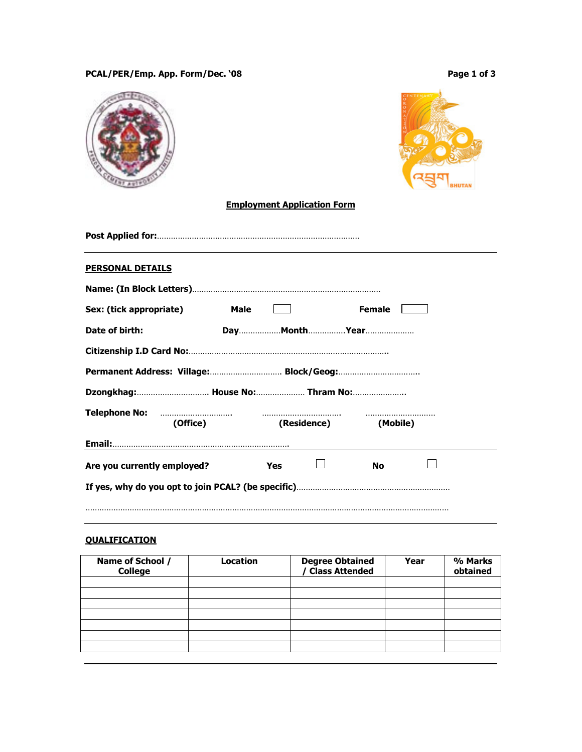# PCAL/PER/Emp. App. Form/Dec. '08 PCAL/PER/Emp. App. Form/Dec. '08

|                                  | <b>Employment Application Form</b> |             |               |  |
|----------------------------------|------------------------------------|-------------|---------------|--|
|                                  |                                    |             |               |  |
| <b>PERSONAL DETAILS</b>          |                                    |             |               |  |
|                                  |                                    |             |               |  |
| Sex: (tick appropriate)          | <b>Male</b>                        |             | <b>Female</b> |  |
| Date of birth:                   |                                    |             |               |  |
|                                  |                                    |             |               |  |
|                                  |                                    |             |               |  |
| Dzongkhag:  House No:  Thram No: |                                    |             |               |  |
| <b>Telephone No:</b>             |                                    | .           |               |  |
| (Office)                         |                                    | (Residence) | (Mobile)      |  |
|                                  |                                    |             |               |  |
| Are you currently employed?      | Yes                                |             | No            |  |
|                                  |                                    |             |               |  |
|                                  |                                    |             |               |  |
|                                  |                                    |             |               |  |

# **QUALIFICATION**

| Name of School /<br><b>College</b> | Location | Degree Obtained<br>/ Class Attended | Year | % Marks<br>obtained |
|------------------------------------|----------|-------------------------------------|------|---------------------|
|                                    |          |                                     |      |                     |
|                                    |          |                                     |      |                     |
|                                    |          |                                     |      |                     |
|                                    |          |                                     |      |                     |
|                                    |          |                                     |      |                     |
|                                    |          |                                     |      |                     |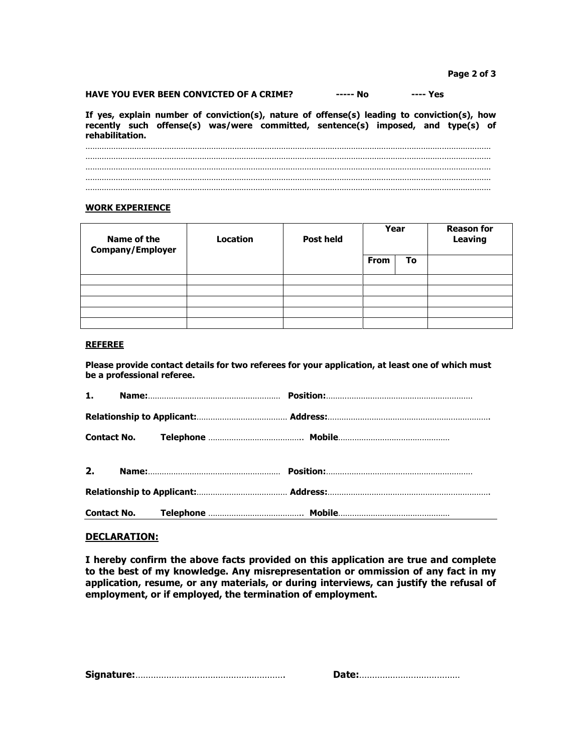## HAVE YOU EVER BEEN CONVICTED OF A CRIME? ------ No ----- Yes

If yes, explain number of conviction(s), nature of offense(s) leading to conviction(s), how recently such offense(s) was/were committed, sentence(s) imposed, and type(s) of rehabilitation.

………………………………………………………………………………………………………………………………………………………… ………………………………………………………………………………………………………………………………………………………… ………………………………………………………………………………………………………………………………………………………… ………………………………………………………………………………………………………………………………………………………… …………………………………………………………………………………………………………………………………………………………

#### WORK EXPERIENCE

| Name of the<br><b>Company/Employer</b> | <b>Location</b> | <b>Post held</b> | Year        |    | <b>Reason for</b><br><b>Leaving</b> |
|----------------------------------------|-----------------|------------------|-------------|----|-------------------------------------|
|                                        |                 |                  | <b>From</b> | To |                                     |
|                                        |                 |                  |             |    |                                     |
|                                        |                 |                  |             |    |                                     |
|                                        |                 |                  |             |    |                                     |
|                                        |                 |                  |             |    |                                     |
|                                        |                 |                  |             |    |                                     |

## REFEREE

Please provide contact details for two referees for your application, at least one of which must be a professional referee.

## DECLARATION:

I hereby confirm the above facts provided on this application are true and complete to the best of my knowledge. Any misrepresentation or ommission of any fact in my application, resume, or any materials, or during interviews, can justify the refusal of employment, or if employed, the termination of employment.

|--|--|